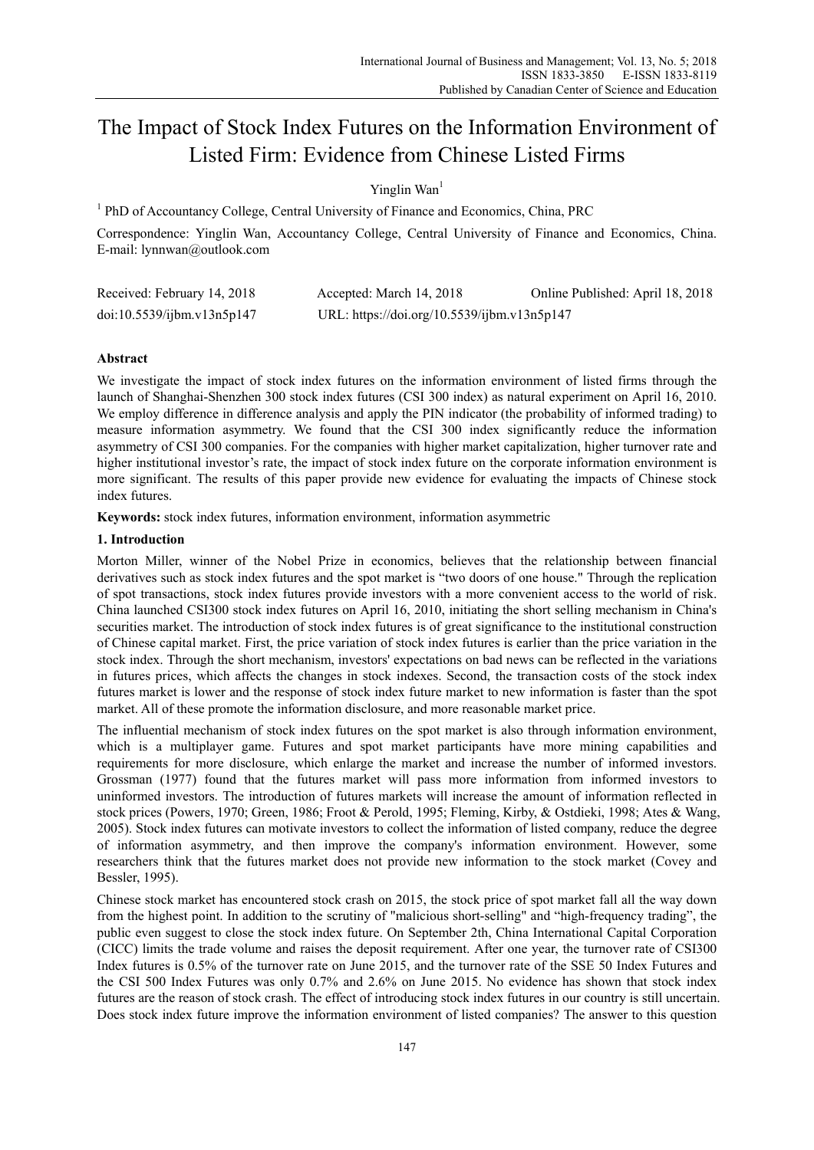# The Impact of Stock Index Futures on the Information Environment of Listed Firm: Evidence from Chinese Listed Firms

Yinglin Wan<sup>1</sup>

<sup>1</sup> PhD of Accountancy College, Central University of Finance and Economics, China, PRC

Correspondence: Yinglin Wan, Accountancy College, Central University of Finance and Economics, China. E-mail: lynnwan@outlook.com

| Received: February 14, 2018 | Accepted: March 14, 2018                    | Online Published: April 18, 2018 |
|-----------------------------|---------------------------------------------|----------------------------------|
| doi:10.5539/ijbm.v13n5p147  | URL: https://doi.org/10.5539/ijbm.v13n5p147 |                                  |

## **Abstract**

We investigate the impact of stock index futures on the information environment of listed firms through the launch of Shanghai-Shenzhen 300 stock index futures (CSI 300 index) as natural experiment on April 16, 2010. We employ difference in difference analysis and apply the PIN indicator (the probability of informed trading) to measure information asymmetry. We found that the CSI 300 index significantly reduce the information asymmetry of CSI 300 companies. For the companies with higher market capitalization, higher turnover rate and higher institutional investor's rate, the impact of stock index future on the corporate information environment is more significant. The results of this paper provide new evidence for evaluating the impacts of Chinese stock index futures.

**Keywords:** stock index futures, information environment, information asymmetric

## **1. Introduction**

Morton Miller, winner of the Nobel Prize in economics, believes that the relationship between financial derivatives such as stock index futures and the spot market is "two doors of one house." Through the replication of spot transactions, stock index futures provide investors with a more convenient access to the world of risk. China launched CSI300 stock index futures on April 16, 2010, initiating the short selling mechanism in China's securities market. The introduction of stock index futures is of great significance to the institutional construction of Chinese capital market. First, the price variation of stock index futures is earlier than the price variation in the stock index. Through the short mechanism, investors' expectations on bad news can be reflected in the variations in futures prices, which affects the changes in stock indexes. Second, the transaction costs of the stock index futures market is lower and the response of stock index future market to new information is faster than the spot market. All of these promote the information disclosure, and more reasonable market price.

The influential mechanism of stock index futures on the spot market is also through information environment, which is a multiplayer game. Futures and spot market participants have more mining capabilities and requirements for more disclosure, which enlarge the market and increase the number of informed investors. Grossman (1977) found that the futures market will pass more information from informed investors to uninformed investors. The introduction of futures markets will increase the amount of information reflected in stock prices (Powers, 1970; Green, 1986; Froot & Perold, 1995; Fleming, Kirby, & Ostdieki, 1998; Ates & Wang, 2005). Stock index futures can motivate investors to collect the information of listed company, reduce the degree of information asymmetry, and then improve the company's information environment. However, some researchers think that the futures market does not provide new information to the stock market (Covey and Bessler, 1995).

Chinese stock market has encountered stock crash on 2015, the stock price of spot market fall all the way down from the highest point. In addition to the scrutiny of "malicious short-selling" and "high-frequency trading", the public even suggest to close the stock index future. On September 2th, China International Capital Corporation (CICC) limits the trade volume and raises the deposit requirement. After one year, the turnover rate of CSI300 Index futures is 0.5% of the turnover rate on June 2015, and the turnover rate of the SSE 50 Index Futures and the CSI 500 Index Futures was only 0.7% and 2.6% on June 2015. No evidence has shown that stock index futures are the reason of stock crash. The effect of introducing stock index futures in our country is still uncertain. Does stock index future improve the information environment of listed companies? The answer to this question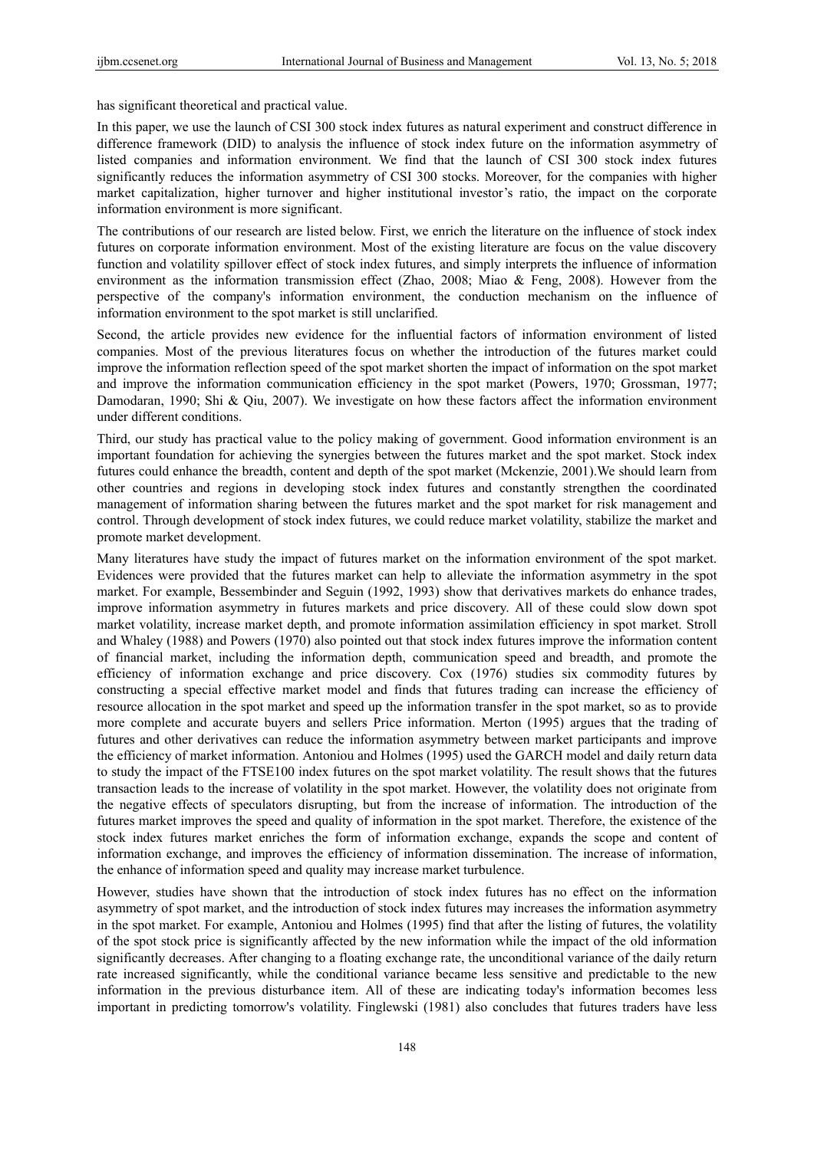has significant theoretical and practical value.

In this paper, we use the launch of CSI 300 stock index futures as natural experiment and construct difference in difference framework (DID) to analysis the influence of stock index future on the information asymmetry of listed companies and information environment. We find that the launch of CSI 300 stock index futures significantly reduces the information asymmetry of CSI 300 stocks. Moreover, for the companies with higher market capitalization, higher turnover and higher institutional investor's ratio, the impact on the corporate information environment is more significant.

The contributions of our research are listed below. First, we enrich the literature on the influence of stock index futures on corporate information environment. Most of the existing literature are focus on the value discovery function and volatility spillover effect of stock index futures, and simply interprets the influence of information environment as the information transmission effect (Zhao, 2008; Miao & Feng, 2008). However from the perspective of the company's information environment, the conduction mechanism on the influence of information environment to the spot market is still unclarified.

Second, the article provides new evidence for the influential factors of information environment of listed companies. Most of the previous literatures focus on whether the introduction of the futures market could improve the information reflection speed of the spot market shorten the impact of information on the spot market and improve the information communication efficiency in the spot market (Powers, 1970; Grossman, 1977; Damodaran, 1990; Shi & Qiu, 2007). We investigate on how these factors affect the information environment under different conditions.

Third, our study has practical value to the policy making of government. Good information environment is an important foundation for achieving the synergies between the futures market and the spot market. Stock index futures could enhance the breadth, content and depth of the spot market (Mckenzie, 2001).We should learn from other countries and regions in developing stock index futures and constantly strengthen the coordinated management of information sharing between the futures market and the spot market for risk management and control. Through development of stock index futures, we could reduce market volatility, stabilize the market and promote market development.

Many literatures have study the impact of futures market on the information environment of the spot market. Evidences were provided that the futures market can help to alleviate the information asymmetry in the spot market. For example, Bessembinder and Seguin (1992, 1993) show that derivatives markets do enhance trades, improve information asymmetry in futures markets and price discovery. All of these could slow down spot market volatility, increase market depth, and promote information assimilation efficiency in spot market. Stroll and Whaley (1988) and Powers (1970) also pointed out that stock index futures improve the information content of financial market, including the information depth, communication speed and breadth, and promote the efficiency of information exchange and price discovery. Cox (1976) studies six commodity futures by constructing a special effective market model and finds that futures trading can increase the efficiency of resource allocation in the spot market and speed up the information transfer in the spot market, so as to provide more complete and accurate buyers and sellers Price information. Merton (1995) argues that the trading of futures and other derivatives can reduce the information asymmetry between market participants and improve the efficiency of market information. Antoniou and Holmes (1995) used the GARCH model and daily return data to study the impact of the FTSE100 index futures on the spot market volatility. The result shows that the futures transaction leads to the increase of volatility in the spot market. However, the volatility does not originate from the negative effects of speculators disrupting, but from the increase of information. The introduction of the futures market improves the speed and quality of information in the spot market. Therefore, the existence of the stock index futures market enriches the form of information exchange, expands the scope and content of information exchange, and improves the efficiency of information dissemination. The increase of information, the enhance of information speed and quality may increase market turbulence.

However, studies have shown that the introduction of stock index futures has no effect on the information asymmetry of spot market, and the introduction of stock index futures may increases the information asymmetry in the spot market. For example, Antoniou and Holmes (1995) find that after the listing of futures, the volatility of the spot stock price is significantly affected by the new information while the impact of the old information significantly decreases. After changing to a floating exchange rate, the unconditional variance of the daily return rate increased significantly, while the conditional variance became less sensitive and predictable to the new information in the previous disturbance item. All of these are indicating today's information becomes less important in predicting tomorrow's volatility. Finglewski (1981) also concludes that futures traders have less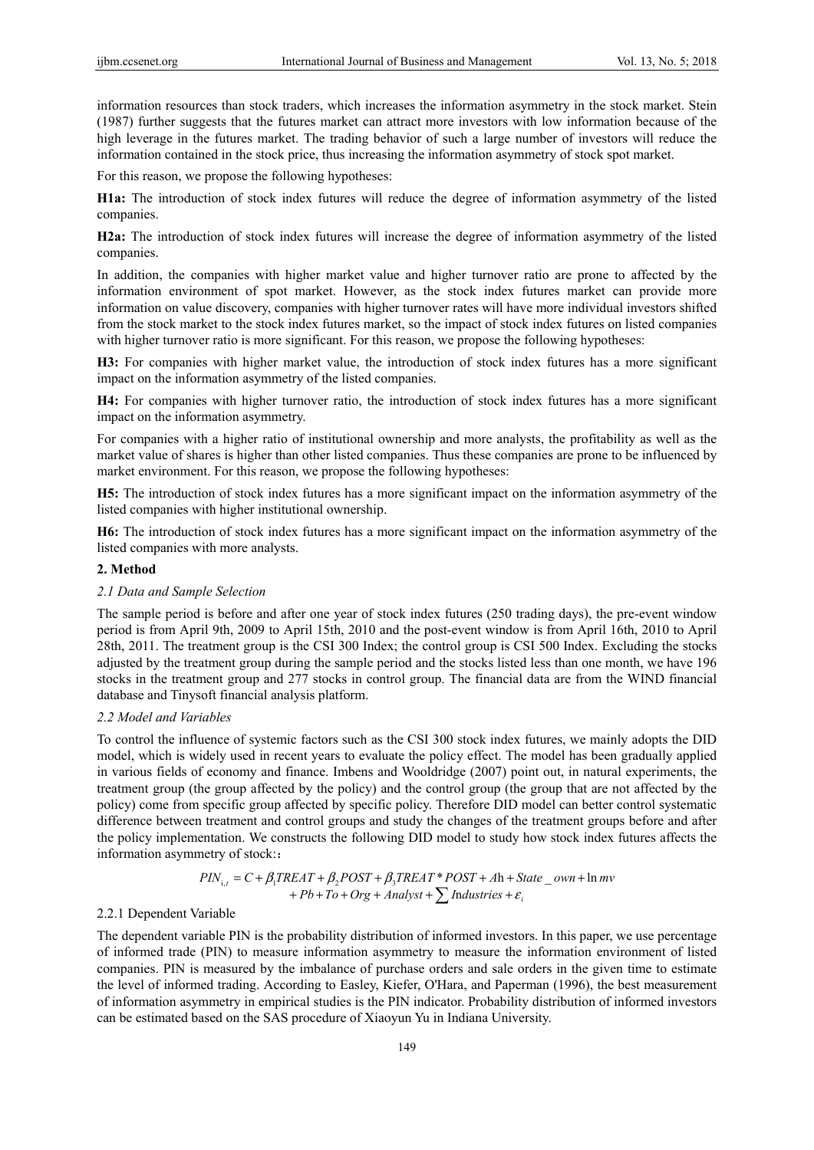information resources than stock traders, which increases the information asymmetry in the stock market. Stein (1987) further suggests that the futures market can attract more investors with low information because of the high leverage in the futures market. The trading behavior of such a large number of investors will reduce the information contained in the stock price, thus increasing the information asymmetry of stock spot market.

For this reason, we propose the following hypotheses:

**H1a:** The introduction of stock index futures will reduce the degree of information asymmetry of the listed companies.

**H2a:** The introduction of stock index futures will increase the degree of information asymmetry of the listed companies.

In addition, the companies with higher market value and higher turnover ratio are prone to affected by the information environment of spot market. However, as the stock index futures market can provide more information on value discovery, companies with higher turnover rates will have more individual investors shifted from the stock market to the stock index futures market, so the impact of stock index futures on listed companies with higher turnover ratio is more significant. For this reason, we propose the following hypotheses:

**H3:** For companies with higher market value, the introduction of stock index futures has a more significant impact on the information asymmetry of the listed companies.

**H4:** For companies with higher turnover ratio, the introduction of stock index futures has a more significant impact on the information asymmetry.

For companies with a higher ratio of institutional ownership and more analysts, the profitability as well as the market value of shares is higher than other listed companies. Thus these companies are prone to be influenced by market environment. For this reason, we propose the following hypotheses:

**H5:** The introduction of stock index futures has a more significant impact on the information asymmetry of the listed companies with higher institutional ownership.

**H6:** The introduction of stock index futures has a more significant impact on the information asymmetry of the listed companies with more analysts.

#### **2. Method**

## *2.1 Data and Sample Selection*

The sample period is before and after one year of stock index futures (250 trading days), the pre-event window period is from April 9th, 2009 to April 15th, 2010 and the post-event window is from April 16th, 2010 to April 28th, 2011. The treatment group is the CSI 300 Index; the control group is CSI 500 Index. Excluding the stocks adjusted by the treatment group during the sample period and the stocks listed less than one month, we have 196 stocks in the treatment group and 277 stocks in control group. The financial data are from the WIND financial database and Tinysoft financial analysis platform.

## *2.2 Model and Variables*

To control the influence of systemic factors such as the CSI 300 stock index futures, we mainly adopts the DID model, which is widely used in recent years to evaluate the policy effect. The model has been gradually applied in various fields of economy and finance. Imbens and Wooldridge (2007) point out, in natural experiments, the treatment group (the group affected by the policy) and the control group (the group that are not affected by the policy) come from specific group affected by specific policy. Therefore DID model can better control systematic difference between treatment and control groups and study the changes of the treatment groups before and after the policy implementation. We constructs the following DID model to study how stock index futures affects the information asymmetry of stock::

$$
PIN_{i,t} = C + \beta_1 T REAL + \beta_2 POST + \beta_3 T REAL + POST + Ah + State\_own + \ln mv
$$
  
+ Pb + To + Org + Analyst +  $\sum$  Industries +  $\varepsilon_i$ 

#### 2.2.1 Dependent Variable

The dependent variable PIN is the probability distribution of informed investors. In this paper, we use percentage of informed trade (PIN) to measure information asymmetry to measure the information environment of listed companies. PIN is measured by the imbalance of purchase orders and sale orders in the given time to estimate the level of informed trading. According to Easley, Kiefer, O'Hara, and Paperman (1996), the best measurement of information asymmetry in empirical studies is the PIN indicator. Probability distribution of informed investors can be estimated based on the SAS procedure of Xiaoyun Yu in Indiana University.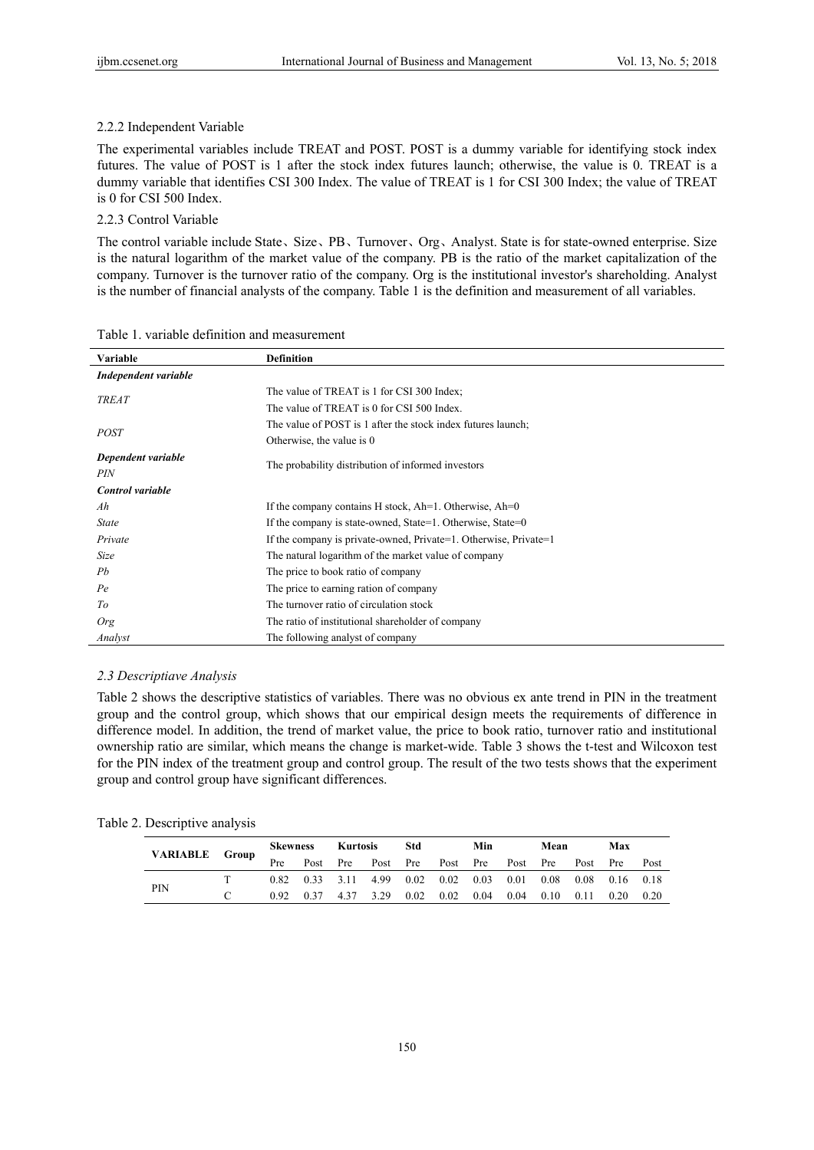## 2.2.2 Independent Variable

The experimental variables include TREAT and POST. POST is a dummy variable for identifying stock index futures. The value of POST is 1 after the stock index futures launch; otherwise, the value is 0. TREAT is a dummy variable that identifies CSI 300 Index. The value of TREAT is 1 for CSI 300 Index; the value of TREAT is 0 for CSI 500 Index.

# 2.2.3 Control Variable

The control variable include State、Size、PB、Turnover、Org、Analyst. State is for state-owned enterprise. Size is the natural logarithm of the market value of the company. PB is the ratio of the market capitalization of the company. Turnover is the turnover ratio of the company. Org is the institutional investor's shareholding. Analyst is the number of financial analysts of the company. Table 1 is the definition and measurement of all variables.

| Variable             | <b>Definition</b>                                                |
|----------------------|------------------------------------------------------------------|
| Independent variable |                                                                  |
| <b>TREAT</b>         | The value of TREAT is 1 for CSI 300 Index;                       |
|                      | The value of TREAT is 0 for CSI 500 Index.                       |
| <i>POST</i>          | The value of POST is 1 after the stock index futures launch;     |
|                      | Otherwise, the value is 0                                        |
| Dependent variable   |                                                                  |
| PIN                  | The probability distribution of informed investors               |
| Control variable     |                                                                  |
| Ah                   | If the company contains H stock, $Ah=1$ . Otherwise, $Ah=0$      |
| <b>State</b>         | If the company is state-owned, State=1. Otherwise, State=0       |
| Private              | If the company is private-owned, Private=1. Otherwise, Private=1 |
| Size                 | The natural logarithm of the market value of company             |
| Рb                   | The price to book ratio of company                               |
| Pe                   | The price to earning ration of company                           |
| $T_{O}$              | The turnover ratio of circulation stock                          |
| Org                  | The ratio of institutional shareholder of company                |
| Analyst              | The following analyst of company                                 |

|  |  |  |  |  | Table 1, variable definition and measurement |
|--|--|--|--|--|----------------------------------------------|
|--|--|--|--|--|----------------------------------------------|

#### *2.3 Descriptiave Analysis*

Table 2 shows the descriptive statistics of variables. There was no obvious ex ante trend in PIN in the treatment group and the control group, which shows that our empirical design meets the requirements of difference in difference model. In addition, the trend of market value, the price to book ratio, turnover ratio and institutional ownership ratio are similar, which means the change is market-wide. Table 3 shows the t-test and Wilcoxon test for the PIN index of the treatment group and control group. The result of the two tests shows that the experiment group and control group have significant differences.

|  |  | Table 2. Descriptive analysis |
|--|--|-------------------------------|
|  |  |                               |
|  |  |                               |

| <b>VARIABLE</b> Group | Skewness | Kurtosis |                                                             | Std | Min | Mean |          | Max |      |
|-----------------------|----------|----------|-------------------------------------------------------------|-----|-----|------|----------|-----|------|
|                       | Pre      |          | Post Pre Post Pre Post Pre Post Pre '                       |     |     |      | Post Pre |     | Post |
|                       |          |          | 0.82 0.33 3.11 4.99 0.02 0.02 0.03 0.01 0.08 0.08 0.16 0.18 |     |     |      |          |     |      |
| PIN                   |          |          | 0.92 0.37 4.37 3.29 0.02 0.02 0.04 0.04 0.10 0.11 0.20 0.20 |     |     |      |          |     |      |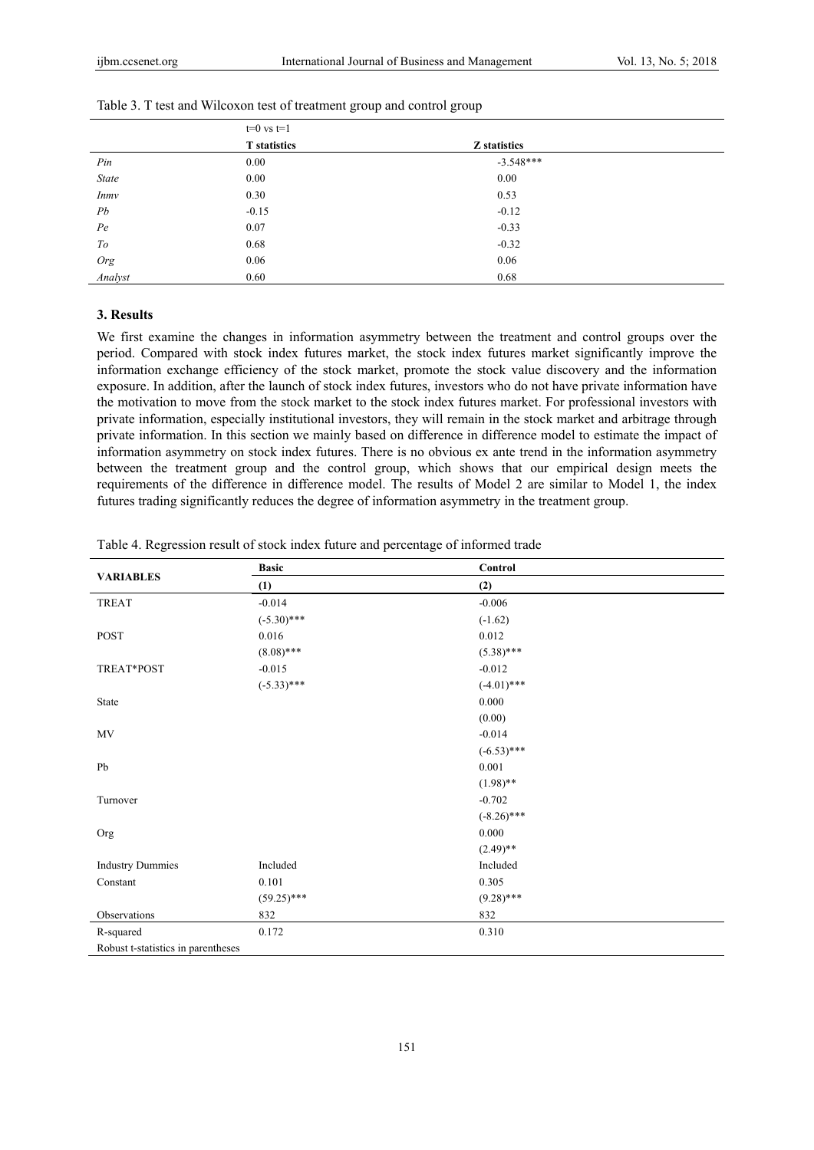|                | $t=0$ vs $t=1$      |              |  |
|----------------|---------------------|--------------|--|
|                | <b>T</b> statistics | Z statistics |  |
| Pin            | 0.00                | $-3.548***$  |  |
| <b>State</b>   | 0.00                | 0.00         |  |
| Inmy           | 0.30                | 0.53         |  |
| Pb             | $-0.15$             | $-0.12$      |  |
| Pe             | 0.07                | $-0.33$      |  |
| To             | 0.68                | $-0.32$      |  |
| $\mathit{Org}$ | 0.06                | 0.06         |  |
| Analyst        | 0.60                | 0.68         |  |

Table 3. T test and Wilcoxon test of treatment group and control group

## **3. Results**

We first examine the changes in information asymmetry between the treatment and control groups over the period. Compared with stock index futures market, the stock index futures market significantly improve the information exchange efficiency of the stock market, promote the stock value discovery and the information exposure. In addition, after the launch of stock index futures, investors who do not have private information have the motivation to move from the stock market to the stock index futures market. For professional investors with private information, especially institutional investors, they will remain in the stock market and arbitrage through private information. In this section we mainly based on difference in difference model to estimate the impact of information asymmetry on stock index futures. There is no obvious ex ante trend in the information asymmetry between the treatment group and the control group, which shows that our empirical design meets the requirements of the difference in difference model. The results of Model 2 are similar to Model 1, the index futures trading significantly reduces the degree of information asymmetry in the treatment group.

|                                    | <b>Basic</b>  | Control       |
|------------------------------------|---------------|---------------|
| <b>VARIABLES</b>                   | (1)           | (2)           |
| TREAT                              | $-0.014$      | $-0.006$      |
|                                    | $(-5.30)$ *** | $(-1.62)$     |
| POST                               | 0.016         | 0.012         |
|                                    | $(8.08)$ ***  | $(5.38)$ ***  |
| TREAT*POST                         | $-0.015$      | $-0.012$      |
|                                    | $(-5.33)$ *** | $(-4.01)$ *** |
| State                              |               | 0.000         |
|                                    |               | (0.00)        |
| MV                                 |               | $-0.014$      |
|                                    |               | $(-6.53)$ *** |
| Pb                                 |               | 0.001         |
|                                    |               | $(1.98)$ **   |
| Turnover                           |               | $-0.702$      |
|                                    |               | $(-8.26)$ *** |
| Org                                |               | 0.000         |
|                                    |               | $(2.49)$ **   |
| <b>Industry Dummies</b>            | Included      | Included      |
| Constant                           | 0.101         | 0.305         |
|                                    | $(59.25)$ *** | $(9.28)$ ***  |
| Observations                       | 832           | 832           |
| R-squared                          | 0.172         | 0.310         |
| Robust t-statistics in parentheses |               |               |

Table 4. Regression result of stock index future and percentage of informed trade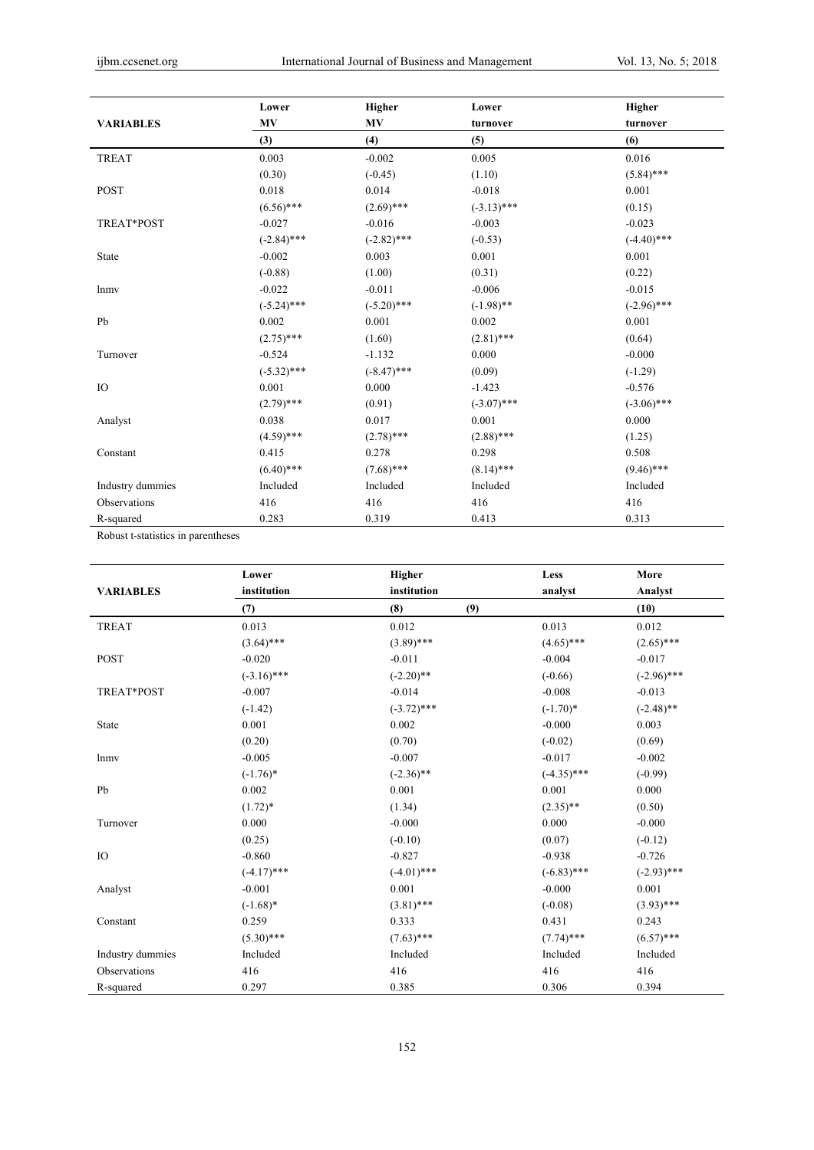|                  | Lower         | Higher        | Lower         | Higher        |
|------------------|---------------|---------------|---------------|---------------|
| <b>VARIABLES</b> | MV            | MV            | turnover      | turnover      |
|                  | (3)           | (4)           | (5)           | (6)           |
| <b>TREAT</b>     | 0.003         | $-0.002$      | 0.005         | 0.016         |
|                  | (0.30)        | $(-0.45)$     | (1.10)        | $(5.84)$ ***  |
| <b>POST</b>      | 0.018         | 0.014         | $-0.018$      | 0.001         |
|                  | $(6.56)$ ***  | $(2.69)$ ***  | $(-3.13)$ *** | (0.15)        |
| TREAT*POST       | $-0.027$      | $-0.016$      | $-0.003$      | $-0.023$      |
|                  | $(-2.84)$ *** | $(-2.82)$ *** | $(-0.53)$     | $(-4.40)$ *** |
| State            | $-0.002$      | 0.003         | 0.001         | 0.001         |
|                  | $(-0.88)$     | (1.00)        | (0.31)        | (0.22)        |
| lnmv             | $-0.022$      | $-0.011$      | $-0.006$      | $-0.015$      |
|                  | $(-5.24)$ *** | $(-5.20)$ *** | $(-1.98)$ **  | $(-2.96)$ *** |
| Pb               | 0.002         | 0.001         | 0.002         | 0.001         |
|                  | $(2.75)$ ***  | (1.60)        | $(2.81)$ ***  | (0.64)        |
| Turnover         | $-0.524$      | $-1.132$      | 0.000         | $-0.000$      |
|                  | $(-5.32)$ *** | $(-8.47)$ *** | (0.09)        | $(-1.29)$     |
| ${\rm IO}$       | 0.001         | 0.000         | $-1.423$      | $-0.576$      |
|                  | $(2.79)$ ***  | (0.91)        | $(-3.07)$ *** | $(-3.06)$ *** |
| Analyst          | 0.038         | 0.017         | 0.001         | 0.000         |
|                  | $(4.59)$ ***  | $(2.78)$ ***  | $(2.88)$ ***  | (1.25)        |
| Constant         | 0.415         | 0.278         | 0.298         | 0.508         |
|                  | $(6.40)$ ***  | $(7.68)$ ***  | $(8.14)$ ***  | $(9.46)$ ***  |
| Industry dummies | Included      | Included      | Included      | Included      |
| Observations     | 416           | 416           | 416           | 416           |
| R-squared        | 0.283         | 0.319         | 0.413         | 0.313         |

Robust t-statistics in parentheses

|                  | Lower         | Higher        | Less          | More          |  |
|------------------|---------------|---------------|---------------|---------------|--|
| <b>VARIABLES</b> | institution   | institution   | analyst       | Analyst       |  |
|                  | (7)           | (8)<br>(9)    |               | (10)          |  |
| <b>TREAT</b>     | 0.013         | 0.012         | 0.013         | 0.012         |  |
|                  | $(3.64)$ ***  | $(3.89)$ ***  | $(4.65)$ ***  | $(2.65)$ ***  |  |
| <b>POST</b>      | $-0.020$      | $-0.011$      | $-0.004$      | $-0.017$      |  |
|                  | $(-3.16)$ *** | $(-2.20)$ **  | $(-0.66)$     | $(-2.96)$ *** |  |
| TREAT*POST       | $-0.007$      | $-0.014$      | $-0.008$      | $-0.013$      |  |
|                  | $(-1.42)$     | $(-3.72)$ *** | $(-1.70)*$    | $(-2.48)$ **  |  |
| <b>State</b>     | 0.001         | 0.002         | $-0.000$      | 0.003         |  |
|                  | (0.20)        | (0.70)        | $(-0.02)$     | (0.69)        |  |
| lnmy             | $-0.005$      | $-0.007$      | $-0.017$      | $-0.002$      |  |
|                  | $(-1.76)^*$   | $(-2.36)$ **  | $(-4.35)$ *** | $(-0.99)$     |  |
| Pb               | 0.002         | 0.001         | 0.001         | 0.000         |  |
|                  | $(1.72)^*$    | (1.34)        | $(2.35)$ **   | (0.50)        |  |
| Turnover         | 0.000         | $-0.000$      | 0.000         | $-0.000$      |  |
|                  | (0.25)        | $(-0.10)$     | (0.07)        | $(-0.12)$     |  |
| IO               | $-0.860$      | $-0.827$      | $-0.938$      | $-0.726$      |  |
|                  | $(-4.17)$ *** | $(-4.01)$ *** | $(-6.83)$ *** | $(-2.93)$ *** |  |
| Analyst          | $-0.001$      | 0.001         | $-0.000$      | 0.001         |  |
|                  | $(-1.68)$ *   | $(3.81)$ ***  | $(-0.08)$     | $(3.93)$ ***  |  |
| Constant         | 0.259         | 0.333         | 0.431         | 0.243         |  |
|                  | $(5.30)$ ***  | $(7.63)$ ***  | $(7.74)$ ***  | $(6.57)$ ***  |  |
| Industry dummies | Included      | Included      | Included      | Included      |  |
| Observations     | 416           | 416           | 416           | 416           |  |
| R-squared        | 0.297         | 0.385         | 0.306         | 0.394         |  |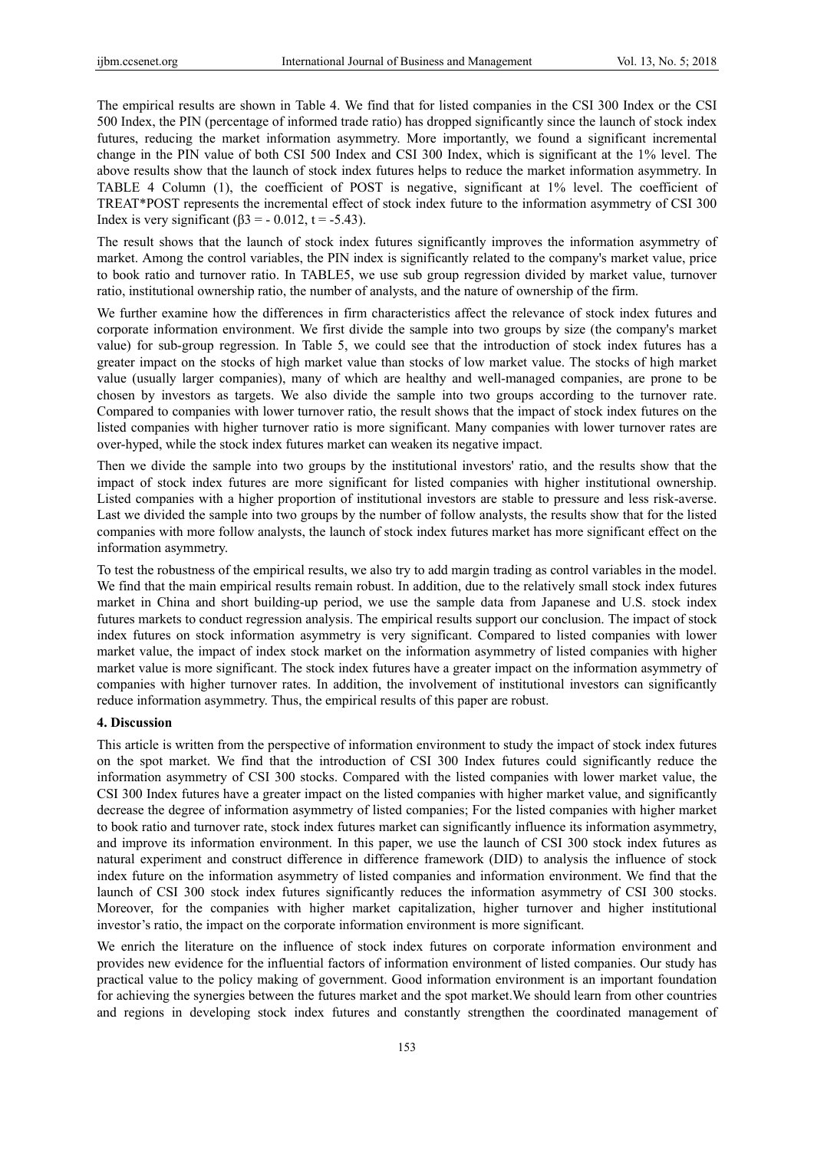The empirical results are shown in Table 4. We find that for listed companies in the CSI 300 Index or the CSI 500 Index, the PIN (percentage of informed trade ratio) has dropped significantly since the launch of stock index futures, reducing the market information asymmetry. More importantly, we found a significant incremental change in the PIN value of both CSI 500 Index and CSI 300 Index, which is significant at the 1% level. The above results show that the launch of stock index futures helps to reduce the market information asymmetry. In TABLE 4 Column (1), the coefficient of POST is negative, significant at 1% level. The coefficient of TREAT\*POST represents the incremental effect of stock index future to the information asymmetry of CSI 300 Index is very significant ( $\beta$ 3 = - 0.012, t = -5.43).

The result shows that the launch of stock index futures significantly improves the information asymmetry of market. Among the control variables, the PIN index is significantly related to the company's market value, price to book ratio and turnover ratio. In TABLE5, we use sub group regression divided by market value, turnover ratio, institutional ownership ratio, the number of analysts, and the nature of ownership of the firm.

We further examine how the differences in firm characteristics affect the relevance of stock index futures and corporate information environment. We first divide the sample into two groups by size (the company's market value) for sub-group regression. In Table 5, we could see that the introduction of stock index futures has a greater impact on the stocks of high market value than stocks of low market value. The stocks of high market value (usually larger companies), many of which are healthy and well-managed companies, are prone to be chosen by investors as targets. We also divide the sample into two groups according to the turnover rate. Compared to companies with lower turnover ratio, the result shows that the impact of stock index futures on the listed companies with higher turnover ratio is more significant. Many companies with lower turnover rates are over-hyped, while the stock index futures market can weaken its negative impact.

Then we divide the sample into two groups by the institutional investors' ratio, and the results show that the impact of stock index futures are more significant for listed companies with higher institutional ownership. Listed companies with a higher proportion of institutional investors are stable to pressure and less risk-averse. Last we divided the sample into two groups by the number of follow analysts, the results show that for the listed companies with more follow analysts, the launch of stock index futures market has more significant effect on the information asymmetry.

To test the robustness of the empirical results, we also try to add margin trading as control variables in the model. We find that the main empirical results remain robust. In addition, due to the relatively small stock index futures market in China and short building-up period, we use the sample data from Japanese and U.S. stock index futures markets to conduct regression analysis. The empirical results support our conclusion. The impact of stock index futures on stock information asymmetry is very significant. Compared to listed companies with lower market value, the impact of index stock market on the information asymmetry of listed companies with higher market value is more significant. The stock index futures have a greater impact on the information asymmetry of companies with higher turnover rates. In addition, the involvement of institutional investors can significantly reduce information asymmetry. Thus, the empirical results of this paper are robust.

## **4. Discussion**

This article is written from the perspective of information environment to study the impact of stock index futures on the spot market. We find that the introduction of CSI 300 Index futures could significantly reduce the information asymmetry of CSI 300 stocks. Compared with the listed companies with lower market value, the CSI 300 Index futures have a greater impact on the listed companies with higher market value, and significantly decrease the degree of information asymmetry of listed companies; For the listed companies with higher market to book ratio and turnover rate, stock index futures market can significantly influence its information asymmetry, and improve its information environment. In this paper, we use the launch of CSI 300 stock index futures as natural experiment and construct difference in difference framework (DID) to analysis the influence of stock index future on the information asymmetry of listed companies and information environment. We find that the launch of CSI 300 stock index futures significantly reduces the information asymmetry of CSI 300 stocks. Moreover, for the companies with higher market capitalization, higher turnover and higher institutional investor's ratio, the impact on the corporate information environment is more significant.

We enrich the literature on the influence of stock index futures on corporate information environment and provides new evidence for the influential factors of information environment of listed companies. Our study has practical value to the policy making of government. Good information environment is an important foundation for achieving the synergies between the futures market and the spot market.We should learn from other countries and regions in developing stock index futures and constantly strengthen the coordinated management of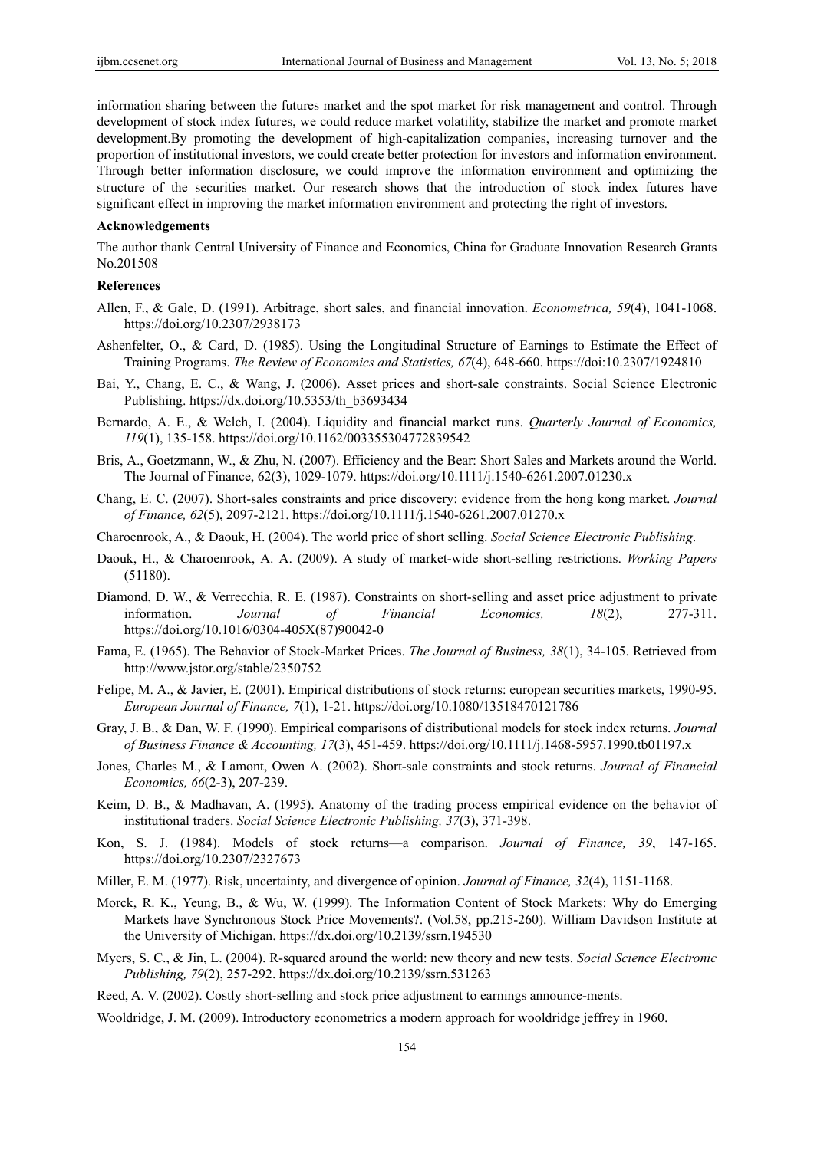information sharing between the futures market and the spot market for risk management and control. Through development of stock index futures, we could reduce market volatility, stabilize the market and promote market development.By promoting the development of high-capitalization companies, increasing turnover and the proportion of institutional investors, we could create better protection for investors and information environment. Through better information disclosure, we could improve the information environment and optimizing the structure of the securities market. Our research shows that the introduction of stock index futures have significant effect in improving the market information environment and protecting the right of investors.

#### **Acknowledgements**

The author thank Central University of Finance and Economics, China for Graduate Innovation Research Grants No.201508

## **References**

- Allen, F., & Gale, D. (1991). Arbitrage, short sales, and financial innovation. *Econometrica, 59*(4), 1041-1068. https://doi.org/10.2307/2938173
- Ashenfelter, O., & Card, D. (1985). Using the Longitudinal Structure of Earnings to Estimate the Effect of Training Programs. *The Review of Economics and Statistics, 67*(4), 648-660. https://doi:10.2307/1924810
- Bai, Y., Chang, E. C., & Wang, J. (2006). Asset prices and short-sale constraints. Social Science Electronic Publishing. https://dx.doi.org/10.5353/th\_b3693434
- Bernardo, A. E., & Welch, I. (2004). Liquidity and financial market runs. *Quarterly Journal of Economics, 119*(1), 135-158. https://doi.org/10.1162/003355304772839542
- Bris, A., Goetzmann, W., & Zhu, N. (2007). Efficiency and the Bear: Short Sales and Markets around the World. The Journal of Finance, 62(3), 1029-1079. https://doi.org/10.1111/j.1540-6261.2007.01230.x
- Chang, E. C. (2007). Short-sales constraints and price discovery: evidence from the hong kong market. *Journal of Finance, 62*(5), 2097-2121. https://doi.org/10.1111/j.1540-6261.2007.01270.x
- Charoenrook, A., & Daouk, H. (2004). The world price of short selling. *Social Science Electronic Publishing*.
- Daouk, H., & Charoenrook, A. A. (2009). A study of market-wide short-selling restrictions. *Working Papers* (51180).
- Diamond, D. W., & Verrecchia, R. E. (1987). Constraints on short-selling and asset price adjustment to private information. *Journal of Financial Economics, 18*(2), 277-311. https://doi.org/10.1016/0304-405X(87)90042-0
- Fama, E. (1965). The Behavior of Stock-Market Prices. *The Journal of Business, 38*(1), 34-105. Retrieved from http://www.jstor.org/stable/2350752
- Felipe, M. A., & Javier, E. (2001). Empirical distributions of stock returns: european securities markets, 1990-95. *European Journal of Finance, 7*(1), 1-21. https://doi.org/10.1080/13518470121786
- Gray, J. B., & Dan, W. F. (1990). Empirical comparisons of distributional models for stock index returns. *Journal of Business Finance & Accounting, 17*(3), 451-459. https://doi.org/10.1111/j.1468-5957.1990.tb01197.x
- Jones, Charles M., & Lamont, Owen A. (2002). Short-sale constraints and stock returns. *Journal of Financial Economics, 66*(2-3), 207-239.
- Keim, D. B., & Madhavan, A. (1995). Anatomy of the trading process empirical evidence on the behavior of institutional traders. *Social Science Electronic Publishing, 37*(3), 371-398.
- Kon, S. J. (1984). Models of stock returns—a comparison. *Journal of Finance, 39*, 147-165. https://doi.org/10.2307/2327673
- Miller, E. M. (1977). Risk, uncertainty, and divergence of opinion. *Journal of Finance, 32*(4), 1151-1168.
- Morck, R. K., Yeung, B., & Wu, W. (1999). The Information Content of Stock Markets: Why do Emerging Markets have Synchronous Stock Price Movements?. (Vol.58, pp.215-260). William Davidson Institute at the University of Michigan. https://dx.doi.org/10.2139/ssrn.194530
- Myers, S. C., & Jin, L. (2004). R-squared around the world: new theory and new tests. *Social Science Electronic Publishing, 79*(2), 257-292. https://dx.doi.org/10.2139/ssrn.531263

Reed, A. V. (2002). Costly short-selling and stock price adjustment to earnings announce-ments.

Wooldridge, J. M. (2009). Introductory econometrics a modern approach for wooldridge jeffrey in 1960.